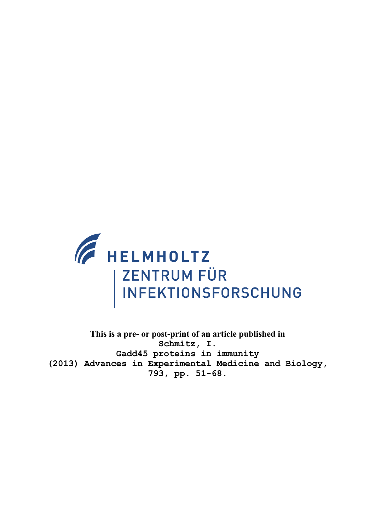

**This is a pre- or post-print of an article published in Schmitz, I. Gadd45 proteins in immunity (2013) Advances in Experimental Medicine and Biology, 793, pp. 51-68.**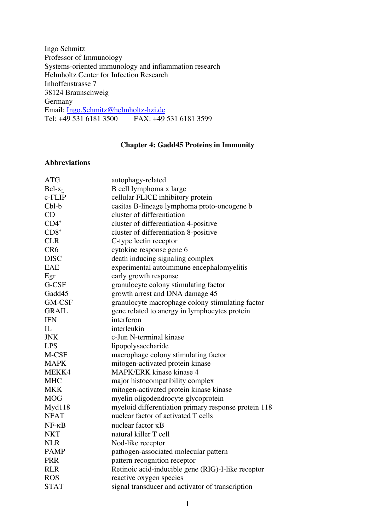Ingo Schmitz Professor of Immunology Systems-oriented immunology and inflammation research Helmholtz Center for Infection Research Inhoffenstrasse 7 38124 Braunschweig Germany Email: Ingo.Schmitz@helmholtz-hzi.de<br>Tel: +49 531 6181 3500 FAX: +49 Tel: +49 531 6181 3500 FAX: +49 531 6181 3599

# **Chapter 4: Gadd45 Proteins in Immunity**

# **Abbreviations**

| <b>ATG</b>      | autophagy-related                                    |
|-----------------|------------------------------------------------------|
| $Bcl-x_L$       | B cell lymphoma x large                              |
| c-FLIP          | cellular FLICE inhibitory protein                    |
| $Cbl-b$         | casitas B-lineage lymphoma proto-oncogene b          |
| CD              | cluster of differentiation                           |
| $CD4^*$         | cluster of differentiation 4-positive                |
| $CD8+$          | cluster of differentiation 8-positive                |
| <b>CLR</b>      | C-type lectin receptor                               |
| CR <sub>6</sub> | cytokine response gene 6                             |
| <b>DISC</b>     | death inducing signaling complex                     |
| <b>EAE</b>      | experimental autoimmune encephalomyelitis            |
| Egr             | early growth response                                |
| G-CSF           | granulocyte colony stimulating factor                |
| Gadd45          | growth arrest and DNA damage 45                      |
| <b>GM-CSF</b>   | granulocyte macrophage colony stimulating factor     |
| <b>GRAIL</b>    | gene related to anergy in lymphocytes protein        |
| <b>IFN</b>      | interferon                                           |
| IL              | interleukin                                          |
| <b>JNK</b>      | c-Jun N-terminal kinase                              |
| <b>LPS</b>      | lipopolysaccharide                                   |
| M-CSF           | macrophage colony stimulating factor                 |
| <b>MAPK</b>     | mitogen-activated protein kinase                     |
| MEKK4           | MAPK/ERK kinase kinase 4                             |
| <b>MHC</b>      | major histocompatibility complex                     |
| <b>MKK</b>      | mitogen-activated protein kinase kinase              |
| <b>MOG</b>      | myelin oligodendrocyte glycoprotein                  |
| Myd118          | myeloid differentiation primary response protein 118 |
| <b>NFAT</b>     | nuclear factor of activated T cells                  |
| $NF - \kappa B$ | nuclear factor KB                                    |
| <b>NKT</b>      | natural killer T cell                                |
| <b>NLR</b>      | Nod-like receptor                                    |
| <b>PAMP</b>     | pathogen-associated molecular pattern                |
| <b>PRR</b>      | pattern recognition receptor                         |
| <b>RLR</b>      | Retinoic acid-inducible gene (RIG)-I-like receptor   |
| <b>ROS</b>      | reactive oxygen species                              |
| <b>STAT</b>     | signal transducer and activator of transcription     |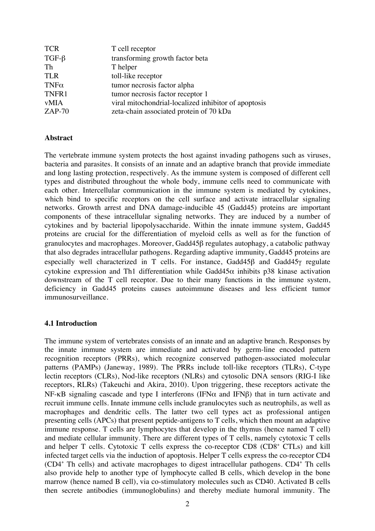| <b>TCR</b>  | T cell receptor                                      |
|-------------|------------------------------------------------------|
| $TGF-\beta$ | transforming growth factor beta                      |
| Th          | T helper                                             |
| <b>TLR</b>  | toll-like receptor                                   |
| $TNF\alpha$ | tumor necrosis factor alpha                          |
| TNFR1       | tumor necrosis factor receptor 1                     |
| <b>vMIA</b> | viral mitochondrial-localized inhibitor of apoptosis |
| $ZAP-70$    | zeta-chain associated protein of 70 kDa              |

#### **Abstract**

The vertebrate immune system protects the host against invading pathogens such as viruses, bacteria and parasites. It consists of an innate and an adaptive branch that provide immediate and long lasting protection, respectively. As the immune system is composed of different cell types and distributed throughout the whole body, immune cells need to communicate with each other. Intercellular communication in the immune system is mediated by cytokines, which bind to specific receptors on the cell surface and activate intracellular signaling networks. Growth arrest and DNA damage-inducible 45 (Gadd45) proteins are important components of these intracellular signaling networks. They are induced by a number of cytokines and by bacterial lipopolysaccharide. Within the innate immune system, Gadd45 proteins are crucial for the differentiation of myeloid cells as well as for the function of granulocytes and macrophages. Moreover, Gadd45β regulates autophagy, a catabolic pathway that also degrades intracellular pathogens. Regarding adaptive immunity, Gadd45 proteins are especially well characterized in T cells. For instance, Gadd45β and Gadd45γ regulate cytokine expression and Th1 differentiation while Gadd45 $\alpha$  inhibits p38 kinase activation downstream of the T cell receptor. Due to their many functions in the immune system, deficiency in Gadd45 proteins causes autoimmune diseases and less efficient tumor immunosurveillance.

## **4.1 Introduction**

The immune system of vertebrates consists of an innate and an adaptive branch. Responses by the innate immune system are immediate and activated by germ-line encoded pattern recognition receptors (PRRs), which recognize conserved pathogen-associated molecular patterns (PAMPs) (Janeway, 1989). The PRRs include toll-like receptors (TLRs), C-type lectin receptors (CLRs), Nod-like receptors (NLRs) and cytosolic DNA sensors (RIG-I like receptors, RLRs) (Takeuchi and Akira, 2010). Upon triggering, these receptors activate the NF-κB signaling cascade and type I interferons (IFNα and IFNβ) that in turn activate and recruit immune cells. Innate immune cells include granulocytes such as neutrophils, as well as macrophages and dendritic cells. The latter two cell types act as professional antigen presenting cells (APCs) that present peptide-antigens to T cells, which then mount an adaptive immune response. T cells are lymphocytes that develop in the thymus (hence named T cell) and mediate cellular immunity. There are different types of T cells, namely cytotoxic T cells and helper T cells. Cytotoxic T cells express the co-receptor CD8 (CD8<sup>+</sup> CTLs) and kill infected target cells via the induction of apoptosis. Helper T cells express the co-receptor CD4 (CD4+ Th cells) and activate macrophages to digest intracellular pathogens. CD4<sup>+</sup> Th cells also provide help to another type of lymphocyte called B cells, which develop in the bone marrow (hence named B cell), via co-stimulatory molecules such as CD40. Activated B cells then secrete antibodies (immunoglobulins) and thereby mediate humoral immunity. The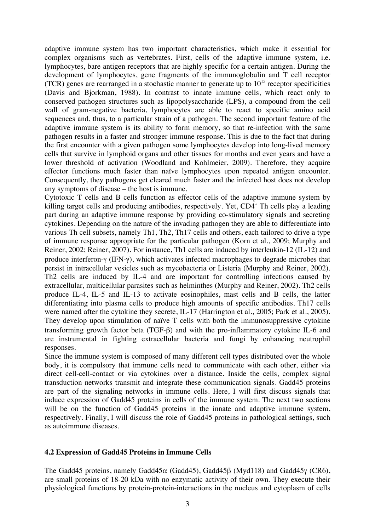adaptive immune system has two important characteristics, which make it essential for complex organisms such as vertebrates. First, cells of the adaptive immune system, i.e. lymphocytes, bare antigen receptors that are highly specific for a certain antigen. During the development of lymphocytes, gene fragments of the immunoglobulin and T cell receptor (TCR) genes are rearranged in a stochastic manner to generate up to  $10^{15}$  receptor specificities (Davis and Bjorkman, 1988). In contrast to innate immune cells, which react only to conserved pathogen structures such as lipopolysaccharide (LPS), a compound from the cell wall of gram-negative bacteria, lymphocytes are able to react to specific amino acid sequences and, thus, to a particular strain of a pathogen. The second important feature of the adaptive immune system is its ability to form memory, so that re-infection with the same pathogen results in a faster and stronger immune response. This is due to the fact that during the first encounter with a given pathogen some lymphocytes develop into long-lived memory cells that survive in lymphoid organs and other tissues for months and even years and have a lower threshold of activation (Woodland and Kohlmeier, 2009). Therefore, they acquire effector functions much faster than naïve lymphocytes upon repeated antigen encounter. Consequently, they pathogens get cleared much faster and the infected host does not develop any symptoms of disease – the host is immune.

Cytotoxic T cells and B cells function as effector cells of the adaptive immune system by killing target cells and producing antibodies, respectively. Yet, CD4<sup>+</sup> Th cells play a leading part during an adaptive immune response by providing co-stimulatory signals and secreting cytokines. Depending on the nature of the invading pathogen they are able to differentiate into various Th cell subsets, namely Th1, Th2, Th17 cells and others, each tailored to drive a type of immune response appropriate for the particular pathogen (Korn et al., 2009; Murphy and Reiner, 2002; Reiner, 2007). For instance, Th1 cells are induced by interleukin-12 (IL-12) and produce interferon-γ (IFN-γ), which activates infected macrophages to degrade microbes that persist in intracellular vesicles such as mycobacteria or Listeria (Murphy and Reiner, 2002). Th2 cells are induced by IL-4 and are important for controlling infections caused by extracellular, multicellular parasites such as helminthes (Murphy and Reiner, 2002). Th2 cells produce IL-4, IL-5 and IL-13 to activate eosinophiles, mast cells and B cells, the latter differentiating into plasma cells to produce high amounts of specific antibodies. Th17 cells were named after the cytokine they secrete, IL-17 (Harrington et al., 2005; Park et al., 2005). They develop upon stimulation of naïve T cells with both the immunosuppressive cytokine transforming growth factor beta (TGF-β) and with the pro-inflammatory cytokine IL-6 and are instrumental in fighting extracellular bacteria and fungi by enhancing neutrophil responses.

Since the immune system is composed of many different cell types distributed over the whole body, it is compulsory that immune cells need to communicate with each other, either via direct cell-cell-contact or via cytokines over a distance. Inside the cells, complex signal transduction networks transmit and integrate these communication signals. Gadd45 proteins are part of the signaling networks in immune cells. Here, I will first discuss signals that induce expression of Gadd45 proteins in cells of the immune system. The next two sections will be on the function of Gadd45 proteins in the innate and adaptive immune system, respectively. Finally, I will discuss the role of Gadd45 proteins in pathological settings, such as autoimmune diseases.

## **4.2 Expression of Gadd45 Proteins in Immune Cells**

The Gadd45 proteins, namely Gadd45α (Gadd45), Gadd45β (Myd118) and Gadd45γ (CR6), are small proteins of 18-20 kDa with no enzymatic activity of their own. They execute their physiological functions by protein-protein-interactions in the nucleus and cytoplasm of cells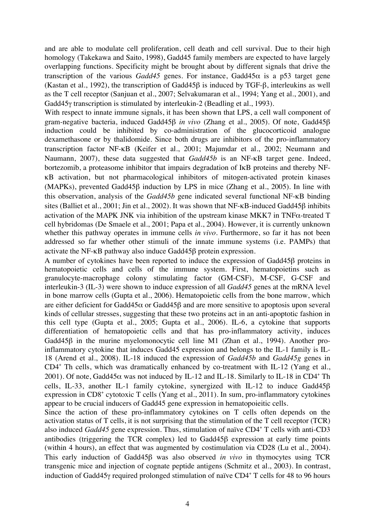and are able to modulate cell proliferation, cell death and cell survival. Due to their high homology (Takekawa and Saito, 1998), Gadd45 family members are expected to have largely overlapping functions. Specificity might be brought about by different signals that drive the transcription of the various *Gadd45* genes. For instance, Gadd45 $\alpha$  is a p53 target gene (Kastan et al., 1992), the transcription of Gadd45β is induced by TGF-β, interleukins as well as the T cell receptor (Sanjuan et al., 2007; Selvakumaran et al., 1994; Yang et al., 2001), and Gadd45γ transcription is stimulated by interleukin-2 (Beadling et al., 1993).

With respect to innate immune signals, it has been shown that LPS, a cell wall component of gram-negative bacteria, induced Gadd45β *in vivo* (Zhang et al., 2005). Of note, Gadd45β induction could be inhibited by co-administration of the glucocorticoid analogue dexamethasone or by thalidomide. Since both drugs are inhibitors of the pro-inflammatory transcription factor NF-κB (Keifer et al., 2001; Majumdar et al., 2002; Neumann and Naumann, 2007), these data suggested that *Gadd45b* is an NF-κB target gene. Indeed, bortezomib, a proteasome inhibitor that impairs degradation of I<sub>KB</sub> proteins and thereby NFκB activation, but not pharmacological inhibitors of mitogen-activated protein kinases (MAPKs), prevented Gadd45β induction by LPS in mice (Zhang et al., 2005). In line with this observation, analysis of the *Gadd45b* gene indicated several functional NF-κB binding sites (Balliet et al., 2001; Jin et al., 2002). It was shown that NF-κB-induced Gadd45β inhibits activation of the MAPK JNK via inhibition of the upstream kinase MKK7 in TNFα-treated T cell hybridomas (De Smaele et al., 2001; Papa et al., 2004). However, it is currently unknown whether this pathway operates in immune cells *in vivo*. Furthermore, so far it has not been addressed so far whether other stimuli of the innate immune systems (i.e. PAMPs) that activate the NF-κB pathway also induce Gadd45β protein expression.

A number of cytokines have been reported to induce the expression of Gadd45β proteins in hematopoietic cells and cells of the immune system. First, hematopoietins such as granulocyte-macrophage colony stimulating factor (GM-CSF), M-CSF, G-CSF and interleukin-3 (IL-3) were shown to induce expression of all *Gadd45* genes at the mRNA level in bone marrow cells (Gupta et al., 2006). Hematopoietic cells from the bone marrow, which are either deficient for Gadd45 $\alpha$  or Gadd45 $\beta$  and are more sensitive to apoptosis upon several kinds of cellular stresses, suggesting that these two proteins act in an anti-apoptotic fashion in this cell type (Gupta et al., 2005; Gupta et al., 2006). IL-6, a cytokine that supports differentiation of hematopoietic cells and that has pro-inflammatory activity, induces Gadd45β in the murine myelomonocytic cell line M1 (Zhan et al., 1994). Another proinflammatory cytokine that induces Gadd45 expression and belongs to the IL-1 family is IL-18 (Arend et al., 2008). IL-18 induced the expression of *Gadd45b* and *Gadd45g* genes in CD4+ Th cells, which was dramatically enhanced by co-treatment with IL-12 (Yang et al., 2001). Of note, Gadd45 $\alpha$  was not induced by IL-12 and IL-18. Similarly to IL-18 in CD4<sup>+</sup> Th cells, IL-33, another IL-1 family cytokine, synergized with IL-12 to induce Gadd45β expression in  $CD8<sup>+</sup>$  cytotoxic T cells (Yang et al., 2011). In sum, pro-inflammatory cytokines appear to be crucial inducers of Gadd45 gene expression in hematopoieitic cells.

Since the action of these pro-inflammatory cytokines on T cells often depends on the activation status of T cells, it is not surprising that the stimulation of the T cell receptor (TCR) also induced *Gadd45* gene expression. Thus, stimulation of naïve CD4<sup>+</sup> T cells with anti-CD3 antibodies (triggering the TCR complex) led to Gadd45β expression at early time points (within 4 hours), an effect that was augmented by costimulation via CD28 (Lu et al., 2004). This early induction of Gadd45β was also observed *in vivo* in thymocytes using TCR transgenic mice and injection of cognate peptide antigens (Schmitz et al., 2003). In contrast, induction of Gadd45γ required prolonged stimulation of naïve CD4<sup>+</sup> T cells for 48 to 96 hours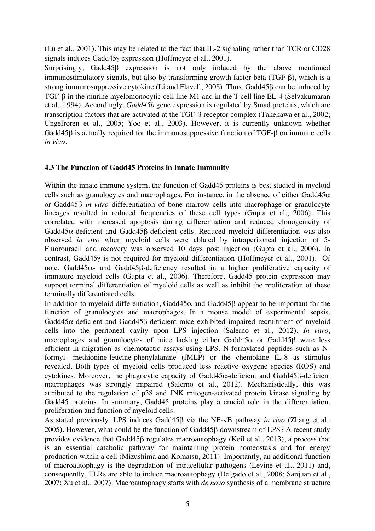(Lu et al., 2001). This may be related to the fact that IL-2 signaling rather than TCR or CD28 signals induces Gadd45γ expression (Hoffmeyer et al., 2001).

Surprisingly, Gadd45β expression is not only induced by the above mentioned immunostimulatory signals, but also by transforming growth factor beta (TGF-β), which is a strong immunosuppressive cytokine (Li and Flavell, 2008). Thus, Gadd45β can be induced by TGF-β in the murine myelomonocytic cell line M1 and in the T cell line EL-4 (Selvakumaran et al., 1994). Accordingly, *Gadd45b* gene expression is regulated by Smad proteins, which are transcription factors that are activated at the TGF-β receptor complex (Takekawa et al., 2002; Ungefroren et al., 2005; Yoo et al., 2003). However, it is currently unknown whether Gadd45β is actually required for the immunosuppressive function of TGF-β on immune cells *in vivo*.

# **4.3 The Function of Gadd45 Proteins in Innate Immunity**

Within the innate immune system, the function of Gadd45 proteins is best studied in myeloid cells such as granulocytes and macrophages. For instance, in the absence of either Gadd45 $\alpha$ or Gadd45β *in vitro* differentiation of bone marrow cells into macrophage or granulocyte lineages resulted in reduced frequencies of these cell types (Gupta et al., 2006). This correlated with increased apoptosis during differentiation and reduced clonogenicity of Gadd45α-deficient and Gadd45β-deficient cells. Reduced myeloid differentiation was also observed *in vivo* when myeloid cells were ablated by intraperitoneal injection of 5- Fluorouracil and recovery was observed 10 days post injection (Gupta et al., 2006). In contrast, Gadd45γ is not required for myeloid differentiation (Hoffmeyer et al., 2001). Of note, Gadd45α- and Gadd45β-deficiency resulted in a higher proliferative capacity of immature myeloid cells (Gupta et al., 2006). Therefore, Gadd45 protein expression may support terminal differentiation of myeloid cells as well as inhibit the proliferation of these terminally differentiated cells.

In addition to myeloid differentiation, Gadd45 $\alpha$  and Gadd45 $\beta$  appear to be important for the function of granulocytes and macrophages. In a mouse model of experimental sepsis, Gadd45α-deficient and Gadd45β-deficient mice exhibited impaired recruitment of myeloid cells into the peritoneal cavity upon LPS injection (Salerno et al., 2012). *In vitro*, macrophages and granulocytes of mice lacking either Gadd45α or Gadd45β were less efficient in migration as chemotactic assays using LPS, N-formylated peptides such as Nformyl- methionine-leucine-phenylalanine (fMLP) or the chemokine IL-8 as stimulus revealed. Both types of myeloid cells produced less reactive oxygene species (ROS) and cytokines. Moreover, the phagocytic capacity of Gadd45α-deficient and Gadd45β-deficient macrophages was strongly impaired (Salerno et al., 2012). Mechanistically, this was attributed to the regulation of p38 and JNK mitogen-activated protein kinase signaling by Gadd45 proteins. In summary, Gadd45 proteins play a crucial role in the differentiation, proliferation and function of myeloid cells.

As stated previously, LPS induces Gadd45β via the NF-κB pathway *in vivo* (Zhang et al., 2005). However, what could be the function of Gadd45β downstream of LPS? A recent study provides evidence that Gadd45<sub>8</sub> regulates macroautophagy (Keil et al., 2013), a process that is an essential catabolic pathway for maintaining protein homeostasis and for energy production within a cell (Mizushima and Komatsu, 2011). Importantly, an additional function of macroautophagy is the degradation of intracellular pathogens (Levine et al., 2011) and, consequently, TLRs are able to induce macroautophagy (Delgado et al., 2008; Sanjuan et al., 2007; Xu et al., 2007). Macroautophagy starts with *de novo* synthesis of a membrane structure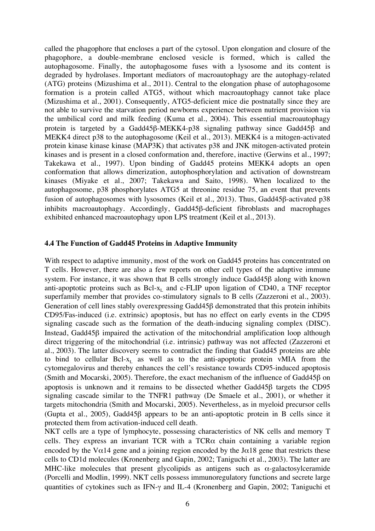called the phagophore that encloses a part of the cytosol. Upon elongation and closure of the phagophore, a double-membrane enclosed vesicle is formed, which is called the autophagosome. Finally, the autophagosome fuses with a lysosome and its content is degraded by hydrolases. Important mediators of macroautophagy are the autophagy-related (ATG) proteins (Mizushima et al., 2011). Central to the elongation phase of autophagosome formation is a protein called ATG5, without which macroautophagy cannot take place (Mizushima et al., 2001). Consequently, ATG5-deficient mice die postnatally since they are not able to survive the starvation period newborns experience between nutrient provision via the umbilical cord and milk feeding (Kuma et al., 2004). This essential macroautophagy protein is targeted by a Gadd45β-MEKK4-p38 signaling pathway since Gadd45β and MEKK4 direct p38 to the autophagosome (Keil et al., 2013). MEKK4 is a mitogen-activated protein kinase kinase kinase (MAP3K) that activates p38 and JNK mitogen-activated protein kinases and is present in a closed conformation and, therefore, inactive (Gerwins et al., 1997; Takekawa et al., 1997). Upon binding of Gadd45 proteins MEKK4 adopts an open conformation that allows dimerization, autophosphorylation and activation of downstream kinases (Miyake et al., 2007; Takekawa and Saito, 1998). When localized to the autophagosome, p38 phosphorylates ATG5 at threonine residue 75, an event that prevents fusion of autophagosomes with lysosomes (Keil et al., 2013). Thus, Gadd45β-activated p38 inhibits macroautophagy. Accordingly, Gadd45β-deficient fibroblasts and macrophages exhibited enhanced macroautophagy upon LPS treatment (Keil et al., 2013).

## **4.4 The Function of Gadd45 Proteins in Adaptive Immunity**

With respect to adaptive immunity, most of the work on Gadd45 proteins has concentrated on T cells. However, there are also a few reports on other cell types of the adaptive immune system. For instance, it was shown that B cells strongly induce Gadd45β along with known anti-apoptotic proteins such as  $Bcl-x<sub>L</sub>$  and c-FLIP upon ligation of CD40, a TNF receptor superfamily member that provides co-stimulatory signals to B cells (Zazzeroni et al., 2003). Generation of cell lines stably overexpressing Gadd45β demonstrated that this protein inhibits CD95/Fas-induced (i.e. extrinsic) apoptosis, but has no effect on early events in the CD95 signaling cascade such as the formation of the death-inducing signaling complex (DISC). Instead, Gadd45β impaired the activation of the mitochondrial amplification loop although direct triggering of the mitochondrial (i.e. intrinsic) pathway was not affected (Zazzeroni et al., 2003). The latter discovery seems to contradict the finding that Gadd45 proteins are able to bind to cellular  $Bcl-x_L$  as well as to the anti-apoptotic protein vMIA from the cytomegalovirus and thereby enhances the cell's resistance towards CD95-induced apoptosis (Smith and Mocarski, 2005). Therefore, the exact mechanism of the influence of Gadd45β on apoptosis is unknown and it remains to be dissected whether Gadd45β targets the CD95 signaling cascade similar to the TNFR1 pathway (De Smaele et al., 2001), or whether it targets mitochondria (Smith and Mocarski, 2005). Nevertheless, as in myeloid precursor cells (Gupta et al., 2005), Gadd45β appears to be an anti-apoptotic protein in B cells since it protected them from activation-induced cell death.

NKT cells are a type of lymphocyte, possessing characteristics of NK cells and memory T cells. They express an invariant TCR with a  $TCR\alpha$  chain containing a variable region encoded by the V $\alpha$ 14 gene and a joining region encoded by the J $\alpha$ 18 gene that restricts these cells to CD1d molecules (Kronenberg and Gapin, 2002; Taniguchi et al., 2003). The latter are MHC-like molecules that present glycolipids as antigens such as  $\alpha$ -galactosylceramide (Porcelli and Modlin, 1999). NKT cells possess immunoregulatory functions and secrete large quantities of cytokines such as IFN-γ and IL-4 (Kronenberg and Gapin, 2002; Taniguchi et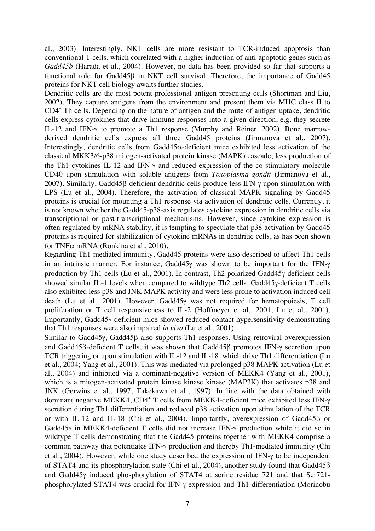al., 2003). Interestingly, NKT cells are more resistant to TCR-induced apoptosis than conventional T cells, which correlated with a higher induction of anti-apoptotic genes such as *Gadd45b* (Harada et al., 2004). However, no data has been provided so far that supports a functional role for Gadd45β in NKT cell survival. Therefore, the importance of Gadd45 proteins for NKT cell biology awaits further studies.

Dendritic cells are the most potent professional antigen presenting cells (Shortman and Liu, 2002). They capture antigens from the environment and present them via MHC class II to CD4+ Th cells. Depending on the nature of antigen and the route of antigen uptake, dendritic cells express cytokines that drive immune responses into a given direction, e.g. they secrete IL-12 and IFN-γ to promote a Th1 response (Murphy and Reiner, 2002). Bone marrowderived dendritic cells express all three Gadd45 proteins (Jirmanova et al., 2007). Interestingly, dendritic cells from Gadd45 $\alpha$ -deficient mice exhibited less activation of the classical MKK3/6-p38 mitogen-activated protein kinase (MAPK) cascade, less production of the Th1 cytokines IL-12 and IFN-γ and reduced expression of the co-stimulatory molecule CD40 upon stimulation with soluble antigens from *Toxoplasma gondii* (Jirmanova et al., 2007). Similarly, Gadd45β-deficient dendritic cells produce less IFN-γ upon stimulation with LPS (Lu et al., 2004). Therefore, the activation of classical MAPK signaling by Gadd45 proteins is crucial for mounting a Th1 response via activation of dendritic cells. Currently, it is not known whether the Gadd45-p38-axis regulates cytokine expression in dendritic cells via transcriptional or post-transcriptional mechanisms. However, since cytokine expression is often regulated by mRNA stability, it is tempting to speculate that p38 activation by Gadd45 proteins is required for stabilization of cytokine mRNAs in dendritic cells, as has been shown for TNF $\alpha$  mRNA (Ronkina et al., 2010).

Regarding Th1-mediated immunity, Gadd45 proteins were also described to affect Th1 cells in an intrinsic manner. For instance, Gadd45γ was shown to be important for the IFN-γ production by Th1 cells (Lu et al., 2001). In contrast, Th2 polarized Gadd45γ-deficient cells showed similar IL-4 levels when compared to wildtype Th2 cells. Gadd45γ-deficient T cells also exhibited less p38 and JNK MAPK activity and were less prone to activation induced cell death (Lu et al., 2001). However, Gadd45γ was not required for hematopoiesis, T cell proliferation or T cell responsiveness to IL-2 (Hoffmeyer et al., 2001; Lu et al., 2001). Importantly, Gadd45γ-deficient mice showed reduced contact hypersensitivity demonstrating that Th1 responses were also impaired *in vivo* (Lu et al., 2001).

Similar to Gadd45γ, Gadd45β also supports Th1 responses. Using retroviral overexpression and Gadd45β-deficient T cells, it was shown that Gadd45β promotes IFN-γ secretion upon TCR triggering or upon stimulation with IL-12 and IL-18, which drive Th1 differentiation (Lu et al., 2004; Yang et al., 2001). This was mediated via prolonged p38 MAPK activation (Lu et al., 2004) and inhibited via a dominant-negative version of MEKK4 (Yang et al., 2001), which is a mitogen-activated protein kinase kinase kinase (MAP3K) that activates p38 and JNK (Gerwins et al., 1997; Takekawa et al., 1997). In line with the data obtained with dominant negative MEKK4, CD4<sup>+</sup> T cells from MEKK4-deficient mice exhibited less IFN-γ secretion during Th1 differentiation and reduced p38 activation upon stimulation of the TCR or with IL-12 and IL-18 (Chi et al., 2004). Importantly, overexpression of Gadd45β or Gadd45γ in MEKK4-deficient T cells did not increase IFN-γ production while it did so in wildtype T cells demonstrating that the Gadd45 proteins together with MEKK4 comprise a common pathway that potentiates IFN-γ production and thereby Th1-mediated immunity (Chi et al., 2004). However, while one study described the expression of IFN-γ to be independent of STAT4 and its phosphorylation state (Chi et al., 2004), another study found that Gadd45β and Gadd45γ induced phosphorylation of STAT4 at serine residue 721 and that Ser721 phosphorylated STAT4 was crucial for IFN-γ expression and Th1 differentiation (Morinobu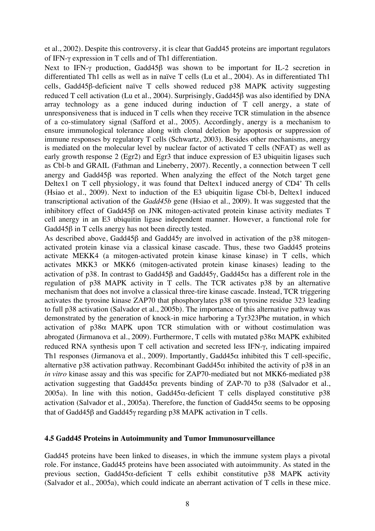et al., 2002). Despite this controversy, it is clear that Gadd45 proteins are important regulators of IFN-γ expression in T cells and of Th1 differentiation.

Next to IFN-γ production, Gadd45β was shown to be important for IL-2 secretion in differentiated Th1 cells as well as in naïve T cells (Lu et al., 2004). As in differentiated Th1 cells, Gadd45β-deficient naïve T cells showed reduced p38 MAPK activity suggesting reduced T cell activation (Lu et al., 2004). Surprisingly, Gadd45β was also identified by DNA array technology as a gene induced during induction of T cell anergy, a state of unresponsiveness that is induced in T cells when they receive TCR stimulation in the absence of a co-stimulatory signal (Safford et al., 2005). Accordingly, anergy is a mechanism to ensure immunological tolerance along with clonal deletion by apoptosis or suppression of immune responses by regulatory T cells (Schwartz, 2003). Besides other mechanisms, anergy is mediated on the molecular level by nuclear factor of activated T cells (NFAT) as well as early growth response 2 (Egr2) and Egr3 that induce expression of E3 ubiquitin ligases such as Cbl-b and GRAIL (Fathman and Lineberry, 2007). Recently, a connection between T cell anergy and Gadd45β was reported. When analyzing the effect of the Notch target gene Deltex1 on T cell physiology, it was found that Deltex1 induced anergy of CD4<sup>+</sup> Th cells (Hsiao et al., 2009). Next to induction of the E3 ubiquitin ligase Cbl-b, Deltex1 induced transcriptional activation of the *Gadd45b* gene (Hsiao et al., 2009). It was suggested that the inhibitory effect of Gadd45β on JNK mitogen-activated protein kinase activity mediates T cell anergy in an E3 ubiquitin ligase independent manner. However, a functional role for Gadd45β in T cells anergy has not been directly tested.

As described above, Gadd45β and Gadd45γ are involved in activation of the p38 mitogenactivated protein kinase via a classical kinase cascade. Thus, these two Gadd45 proteins activate MEKK4 (a mitogen-activated protein kinase kinase kinase) in T cells, which activates MKK3 or MKK6 (mitogen-activated protein kinase kinases) leading to the activation of p38. In contrast to Gadd45β and Gadd45γ, Gadd45 $α$  has a different role in the regulation of p38 MAPK activity in T cells. The TCR activates p38 by an alternative mechanism that does not involve a classical three-tire kinase cascade. Instead, TCR triggering activates the tyrosine kinase ZAP70 that phosphorylates p38 on tyrosine residue 323 leading to full p38 activation (Salvador et al., 2005b). The importance of this alternative pathway was demonstrated by the generation of knock-in mice harboring a Tyr323Phe mutation, in which activation of  $p38\alpha$  MAPK upon TCR stimulation with or without costimulation was abrogated (Jirmanova et al., 2009). Furthermore, T cells with mutated p38α MAPK exhibited reduced RNA synthesis upon T cell activation and secreted less IFN-γ, indicating impaired Th1 responses (Jirmanova et al., 2009). Importantly, Gadd45 $\alpha$  inhibited this T cell-specific, alternative p38 activation pathway. Recombinant Gadd45 $\alpha$  inhibited the activity of p38 in an *in vitro* kinase assay and this was specific for ZAP70-mediated but not MKK6-mediated p38 activation suggesting that Gadd45 $\alpha$  prevents binding of ZAP-70 to p38 (Salvador et al., 2005a). In line with this notion, Gadd45 $\alpha$ -deficient T cells displayed constitutive p38 activation (Salvador et al., 2005a). Therefore, the function of Gadd45 $\alpha$  seems to be opposing that of Gadd45β and Gadd45γ regarding p38 MAPK activation in T cells.

#### **4.5 Gadd45 Proteins in Autoimmunity and Tumor Immunosurveillance**

Gadd45 proteins have been linked to diseases, in which the immune system plays a pivotal role. For instance, Gadd45 proteins have been associated with autoimmunity. As stated in the previous section, Gadd45α-deficient T cells exhibit constitutive p38 MAPK activity (Salvador et al., 2005a), which could indicate an aberrant activation of T cells in these mice.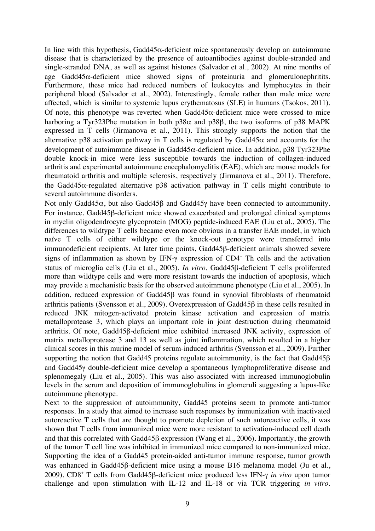In line with this hypothesis, Gadd45 $\alpha$ -deficient mice spontaneously develop an autoimmune disease that is characterized by the presence of autoantibodies against double-stranded and single-stranded DNA, as well as against histones (Salvador et al., 2002). At nine months of age Gadd45 $\alpha$ -deficient mice showed signs of proteinuria and glomerulonephritits. Furthermore, these mice had reduced numbers of leukocytes and lymphocytes in their peripheral blood (Salvador et al., 2002). Interestingly, female rather than male mice were affected, which is similar to systemic lupus erythematosus (SLE) in humans (Tsokos, 2011). Of note, this phenotype was reverted when Gadd45α-deficient mice were crossed to mice harboring a Tyr323Phe mutation in both  $p38\alpha$  and  $p38\beta$ , the two isoforms of p38 MAPK expressed in T cells (Jirmanova et al., 2011). This strongly supports the notion that the alternative p38 activation pathway in T cells is regulated by Gadd45 $\alpha$  and accounts for the development of autoimmune disease in Gadd45 $\alpha$ -deficient mice. In addition, p38 Tyr323Phe double knock-in mice were less susceptible towards the induction of collagen-induced arthritis and experimental autoimmune encephalomyelitis (EAE), which are mouse models for rheumatoid arthritis and multiple sclerosis, respectively (Jirmanova et al., 2011). Therefore, the Gadd45α-regulated alternative p38 activation pathway in T cells might contribute to several autoimmune disorders.

Not only Gadd45 $\alpha$ , but also Gadd45β and Gadd45γ have been connected to autoimmunity. For instance, Gadd45β-deficient mice showed exacerbated and prolonged clinical symptoms in myelin oligodendrocyte glycoprotein (MOG) peptide-induced EAE (Liu et al., 2005). The differences to wildtype T cells became even more obvious in a transfer EAE model, in which naïve T cells of either wildtype or the knock-out genotype were transferred into immunodeficient recipients. At later time points, Gadd45β-deficient animals showed severe signs of inflammation as shown by IFN- $\gamma$  expression of CD4<sup>+</sup> Th cells and the activation status of microglia cells (Liu et al., 2005). *In vitro*, Gadd45β-deficient T cells proliferated more than wildtype cells and were more resistant towards the induction of apoptosis, which may provide a mechanistic basis for the observed autoimmune phenotype (Liu et al., 2005). In addition, reduced expression of Gadd45β was found in synovial fibroblasts of rheumatoid arthritis patients (Svensson et al., 2009). Overexpression of Gadd45β in these cells resulted in reduced JNK mitogen-activated protein kinase activation and expression of matrix metalloprotease 3, which plays an important role in joint destruction during rheumatoid arthritis. Of note, Gadd45β-deficient mice exhibited increased JNK activity, expression of matrix metalloprotease 3 and 13 as well as joint inflammation, which resulted in a higher clinical scores in this murine model of serum-induced arthritis (Svensson et al., 2009). Further supporting the notion that Gadd45 proteins regulate autoimmunity, is the fact that Gadd45β and Gadd45γ double-deficient mice develop a spontaneous lymphoproliferative disease and splenomegaly (Liu et al., 2005). This was also associated with increased immunoglobulin levels in the serum and deposition of immunoglobulins in glomeruli suggesting a lupus-like autoimmune phenotype.

Next to the suppression of autoimmunity, Gadd45 proteins seem to promote anti-tumor responses. In a study that aimed to increase such responses by immunization with inactivated autoreactive T cells that are thought to promote depletion of such autoreactive cells, it was shown that T cells from immunized mice were more resistant to activation-induced cell death and that this correlated with Gadd45β expression (Wang et al., 2006). Importantly, the growth of the tumor T cell line was inhibited in immunized mice compared to non-immunized mice. Supporting the idea of a Gadd45 protein-aided anti-tumor immune response, tumor growth was enhanced in Gadd45β-deficient mice using a mouse B16 melanoma model (Ju et al., 2009). CD8+ T cells from Gadd45β-deficient mice produced less IFN-γ *in vivo* upon tumor challenge and upon stimulation with IL-12 and IL-18 or via TCR triggering *in vitro*.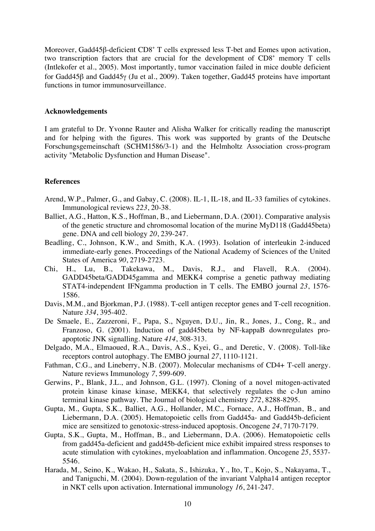Moreover, Gadd45β-deficient CD8<sup>+</sup> T cells expressed less T-bet and Eomes upon activation, two transcription factors that are crucial for the development of  $CD8<sup>+</sup>$  memory T cells (Intlekofer et al., 2005). Most importantly, tumor vaccination failed in mice double deficient for Gadd45β and Gadd45γ (Ju et al., 2009). Taken together, Gadd45 proteins have important functions in tumor immunosurveillance.

#### **Acknowledgements**

I am grateful to Dr. Yvonne Rauter and Alisha Walker for critically reading the manuscript and for helping with the figures. This work was supported by grants of the Deutsche Forschungsgemeinschaft (SCHM1586/3-1) and the Helmholtz Association cross-program activity "Metabolic Dysfunction and Human Disease".

# **References**

- Arend, W.P., Palmer, G., and Gabay, C. (2008). IL-1, IL-18, and IL-33 families of cytokines. Immunological reviews *223*, 20-38.
- Balliet, A.G., Hatton, K.S., Hoffman, B., and Liebermann, D.A. (2001). Comparative analysis of the genetic structure and chromosomal location of the murine MyD118 (Gadd45beta) gene. DNA and cell biology *20*, 239-247.
- Beadling, C., Johnson, K.W., and Smith, K.A. (1993). Isolation of interleukin 2-induced immediate-early genes. Proceedings of the National Academy of Sciences of the United States of America *90*, 2719-2723.
- Chi, H., Lu, B., Takekawa, M., Davis, R.J., and Flavell, R.A. (2004). GADD45beta/GADD45gamma and MEKK4 comprise a genetic pathway mediating STAT4-independent IFNgamma production in T cells. The EMBO journal *23*, 1576- 1586.
- Davis, M.M., and Bjorkman, P.J. (1988). T-cell antigen receptor genes and T-cell recognition. Nature *334*, 395-402.
- De Smaele, E., Zazzeroni, F., Papa, S., Nguyen, D.U., Jin, R., Jones, J., Cong, R., and Franzoso, G. (2001). Induction of gadd45beta by NF-kappaB downregulates proapoptotic JNK signalling. Nature *414*, 308-313.
- Delgado, M.A., Elmaoued, R.A., Davis, A.S., Kyei, G., and Deretic, V. (2008). Toll-like receptors control autophagy. The EMBO journal *27*, 1110-1121.
- Fathman, C.G., and Lineberry, N.B. (2007). Molecular mechanisms of CD4+ T-cell anergy. Nature reviews Immunology *7*, 599-609.
- Gerwins, P., Blank, J.L., and Johnson, G.L. (1997). Cloning of a novel mitogen-activated protein kinase kinase kinase, MEKK4, that selectively regulates the c-Jun amino terminal kinase pathway. The Journal of biological chemistry *272*, 8288-8295.
- Gupta, M., Gupta, S.K., Balliet, A.G., Hollander, M.C., Fornace, A.J., Hoffman, B., and Liebermann, D.A. (2005). Hematopoietic cells from Gadd45a- and Gadd45b-deficient mice are sensitized to genotoxic-stress-induced apoptosis. Oncogene *24*, 7170-7179.
- Gupta, S.K., Gupta, M., Hoffman, B., and Liebermann, D.A. (2006). Hematopoietic cells from gadd45a-deficient and gadd45b-deficient mice exhibit impaired stress responses to acute stimulation with cytokines, myeloablation and inflammation. Oncogene *25*, 5537- 5546.
- Harada, M., Seino, K., Wakao, H., Sakata, S., Ishizuka, Y., Ito, T., Kojo, S., Nakayama, T., and Taniguchi, M. (2004). Down-regulation of the invariant Valpha14 antigen receptor in NKT cells upon activation. International immunology *16*, 241-247.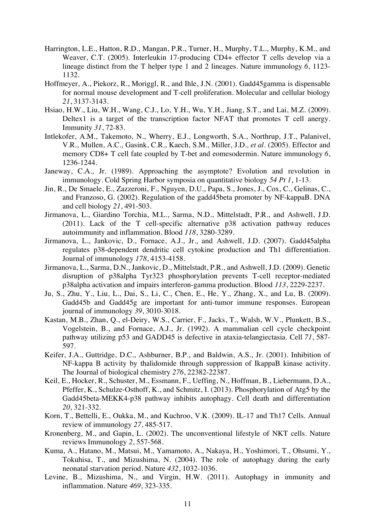- Harrington, L.E., Hatton, R.D., Mangan, P.R., Turner, H., Murphy, T.L., Murphy, K.M., and Weaver, C.T. (2005). Interleukin 17-producing CD4+ effector T cells develop via a lineage distinct from the T helper type 1 and 2 lineages. Nature immunology *6*, 1123- 1132.
- Hoffmeyer, A., Piekorz, R., Moriggl, R., and Ihle, J.N. (2001). Gadd45gamma is dispensable for normal mouse development and T-cell proliferation. Molecular and cellular biology *21*, 3137-3143.
- Hsiao, H.W., Liu, W.H., Wang, C.J., Lo, Y.H., Wu, Y.H., Jiang, S.T., and Lai, M.Z. (2009). Deltex1 is a target of the transcription factor NFAT that promotes T cell anergy. Immunity *31*, 72-83.
- Intlekofer, A.M., Takemoto, N., Wherry, E.J., Longworth, S.A., Northrup, J.T., Palanivel, V.R., Mullen, A.C., Gasink, C.R., Kaech, S.M., Miller, J.D.*, et al.* (2005). Effector and memory CD8+ T cell fate coupled by T-bet and eomesodermin. Nature immunology *6*, 1236-1244.
- Janeway, C.A., Jr. (1989). Approaching the asymptote? Evolution and revolution in immunology. Cold Spring Harbor symposia on quantitative biology *54 Pt 1*, 1-13.
- Jin, R., De Smaele, E., Zazzeroni, F., Nguyen, D.U., Papa, S., Jones, J., Cox, C., Gelinas, C., and Franzoso, G. (2002). Regulation of the gadd45beta promoter by NF-kappaB. DNA and cell biology *21*, 491-503.
- Jirmanova, L., Giardino Torchia, M.L., Sarma, N.D., Mittelstadt, P.R., and Ashwell, J.D. (2011). Lack of the T cell-specific alternative p38 activation pathway reduces autoimmunity and inflammation. Blood *118*, 3280-3289.
- Jirmanova, L., Jankovic, D., Fornace, A.J., Jr., and Ashwell, J.D. (2007). Gadd45alpha regulates p38-dependent dendritic cell cytokine production and Th1 differentiation. Journal of immunology *178*, 4153-4158.
- Jirmanova, L., Sarma, D.N., Jankovic, D., Mittelstadt, P.R., and Ashwell, J.D. (2009). Genetic disruption of p38alpha Tyr323 phosphorylation prevents T-cell receptor-mediated p38alpha activation and impairs interferon-gamma production. Blood *113*, 2229-2237.
- Ju, S., Zhu, Y., Liu, L., Dai, S., Li, C., Chen, E., He, Y., Zhang, X., and Lu, B. (2009). Gadd45b and Gadd45g are important for anti-tumor immune responses. European journal of immunology *39*, 3010-3018.
- Kastan, M.B., Zhan, Q., el-Deiry, W.S., Carrier, F., Jacks, T., Walsh, W.V., Plunkett, B.S., Vogelstein, B., and Fornace, A.J., Jr. (1992). A mammalian cell cycle checkpoint pathway utilizing p53 and GADD45 is defective in ataxia-telangiectasia. Cell *71*, 587- 597.
- Keifer, J.A., Guttridge, D.C., Ashburner, B.P., and Baldwin, A.S., Jr. (2001). Inhibition of NF-kappa B activity by thalidomide through suppression of IkappaB kinase activity. The Journal of biological chemistry *276*, 22382-22387.
- Keil, E., Hocker, R., Schuster, M., Essmann, F., Ueffing, N., Hoffman, B., Liebermann, D.A., Pfeffer, K., Schulze-Osthoff, K., and Schmitz, I. (2013). Phosphorylation of Atg5 by the Gadd45beta-MEKK4-p38 pathway inhibits autophagy. Cell death and differentiation *20*, 321-332.
- Korn, T., Bettelli, E., Oukka, M., and Kuchroo, V.K. (2009). IL-17 and Th17 Cells. Annual review of immunology *27*, 485-517.
- Kronenberg, M., and Gapin, L. (2002). The unconventional lifestyle of NKT cells. Nature reviews Immunology *2*, 557-568.
- Kuma, A., Hatano, M., Matsui, M., Yamamoto, A., Nakaya, H., Yoshimori, T., Ohsumi, Y., Tokuhisa, T., and Mizushima, N. (2004). The role of autophagy during the early neonatal starvation period. Nature *432*, 1032-1036.
- Levine, B., Mizushima, N., and Virgin, H.W. (2011). Autophagy in immunity and inflammation. Nature *469*, 323-335.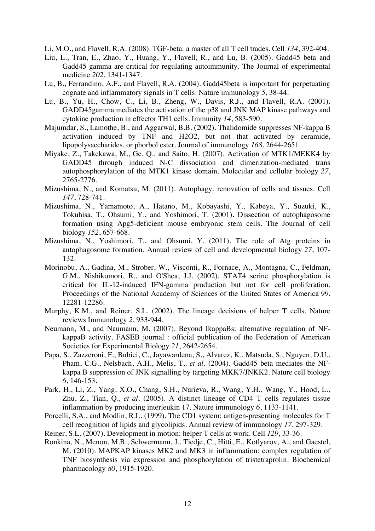Li, M.O., and Flavell, R.A. (2008). TGF-beta: a master of all T cell trades. Cell *134*, 392-404.

- Liu, L., Tran, E., Zhao, Y., Huang, Y., Flavell, R., and Lu, B. (2005). Gadd45 beta and Gadd45 gamma are critical for regulating autoimmunity. The Journal of experimental medicine *202*, 1341-1347.
- Lu, B., Ferrandino, A.F., and Flavell, R.A. (2004). Gadd45beta is important for perpetuating cognate and inflammatory signals in T cells. Nature immunology *5*, 38-44.
- Lu, B., Yu, H., Chow, C., Li, B., Zheng, W., Davis, R.J., and Flavell, R.A. (2001). GADD45gamma mediates the activation of the p38 and JNK MAP kinase pathways and cytokine production in effector TH1 cells. Immunity *14*, 583-590.
- Majumdar, S., Lamothe, B., and Aggarwal, B.B. (2002). Thalidomide suppresses NF-kappa B activation induced by TNF and H2O2, but not that activated by ceramide, lipopolysaccharides, or phorbol ester. Journal of immunology *168*, 2644-2651.
- Miyake, Z., Takekawa, M., Ge, Q., and Saito, H. (2007). Activation of MTK1/MEKK4 by GADD45 through induced N-C dissociation and dimerization-mediated trans autophosphorylation of the MTK1 kinase domain. Molecular and cellular biology *27*, 2765-2776.
- Mizushima, N., and Komatsu, M. (2011). Autophagy: renovation of cells and tissues. Cell *147*, 728-741.
- Mizushima, N., Yamamoto, A., Hatano, M., Kobayashi, Y., Kabeya, Y., Suzuki, K., Tokuhisa, T., Ohsumi, Y., and Yoshimori, T. (2001). Dissection of autophagosome formation using Apg5-deficient mouse embryonic stem cells. The Journal of cell biology *152*, 657-668.
- Mizushima, N., Yoshimori, T., and Ohsumi, Y. (2011). The role of Atg proteins in autophagosome formation. Annual review of cell and developmental biology *27*, 107- 132.
- Morinobu, A., Gadina, M., Strober, W., Visconti, R., Fornace, A., Montagna, C., Feldman, G.M., Nishikomori, R., and O'Shea, J.J. (2002). STAT4 serine phosphorylation is critical for IL-12-induced IFN-gamma production but not for cell proliferation. Proceedings of the National Academy of Sciences of the United States of America *99*, 12281-12286.
- Murphy, K.M., and Reiner, S.L. (2002). The lineage decisions of helper T cells. Nature reviews Immunology *2*, 933-944.
- Neumann, M., and Naumann, M. (2007). Beyond IkappaBs: alternative regulation of NFkappaB activity. FASEB journal : official publication of the Federation of American Societies for Experimental Biology *21*, 2642-2654.
- Papa, S., Zazzeroni, F., Bubici, C., Jayawardena, S., Alvarez, K., Matsuda, S., Nguyen, D.U., Pham, C.G., Nelsbach, A.H., Melis, T.*, et al.* (2004). Gadd45 beta mediates the NFkappa B suppression of JNK signalling by targeting MKK7/JNKK2. Nature cell biology *6*, 146-153.
- Park, H., Li, Z., Yang, X.O., Chang, S.H., Nurieva, R., Wang, Y.H., Wang, Y., Hood, L., Zhu, Z., Tian, Q.*, et al.* (2005). A distinct lineage of CD4 T cells regulates tissue inflammation by producing interleukin 17. Nature immunology *6*, 1133-1141.
- Porcelli, S.A., and Modlin, R.L. (1999). The CD1 system: antigen-presenting molecules for T cell recognition of lipids and glycolipids. Annual review of immunology *17*, 297-329.
- Reiner, S.L. (2007). Development in motion: helper T cells at work. Cell *129*, 33-36.
- Ronkina, N., Menon, M.B., Schwermann, J., Tiedje, C., Hitti, E., Kotlyarov, A., and Gaestel, M. (2010). MAPKAP kinases MK2 and MK3 in inflammation: complex regulation of TNF biosynthesis via expression and phosphorylation of tristetraprolin. Biochemical pharmacology *80*, 1915-1920.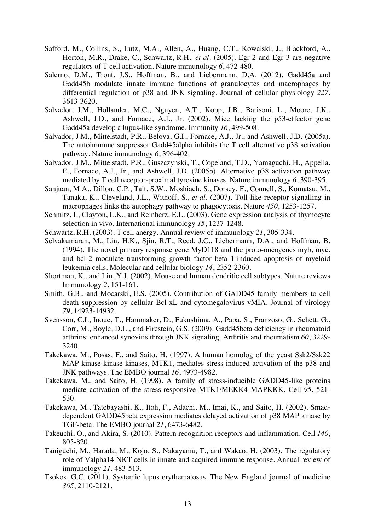- Safford, M., Collins, S., Lutz, M.A., Allen, A., Huang, C.T., Kowalski, J., Blackford, A., Horton, M.R., Drake, C., Schwartz, R.H.*, et al.* (2005). Egr-2 and Egr-3 are negative regulators of T cell activation. Nature immunology *6*, 472-480.
- Salerno, D.M., Tront, J.S., Hoffman, B., and Liebermann, D.A. (2012). Gadd45a and Gadd45b modulate innate immune functions of granulocytes and macrophages by differential regulation of p38 and JNK signaling. Journal of cellular physiology *227*, 3613-3620.
- Salvador, J.M., Hollander, M.C., Nguyen, A.T., Kopp, J.B., Barisoni, L., Moore, J.K., Ashwell, J.D., and Fornace, A.J., Jr. (2002). Mice lacking the p53-effector gene Gadd45a develop a lupus-like syndrome. Immunity *16*, 499-508.
- Salvador, J.M., Mittelstadt, P.R., Belova, G.I., Fornace, A.J., Jr., and Ashwell, J.D. (2005a). The autoimmune suppressor Gadd45alpha inhibits the T cell alternative p38 activation pathway. Nature immunology *6*, 396-402.
- Salvador, J.M., Mittelstadt, P.R., Guszczynski, T., Copeland, T.D., Yamaguchi, H., Appella, E., Fornace, A.J., Jr., and Ashwell, J.D. (2005b). Alternative p38 activation pathway mediated by T cell receptor-proximal tyrosine kinases. Nature immunology *6*, 390-395.
- Sanjuan, M.A., Dillon, C.P., Tait, S.W., Moshiach, S., Dorsey, F., Connell, S., Komatsu, M., Tanaka, K., Cleveland, J.L., Withoff, S.*, et al.* (2007). Toll-like receptor signalling in macrophages links the autophagy pathway to phagocytosis. Nature *450*, 1253-1257.
- Schmitz, I., Clayton, L.K., and Reinherz, E.L. (2003). Gene expression analysis of thymocyte selection in vivo. International immunology *15*, 1237-1248.
- Schwartz, R.H. (2003). T cell anergy. Annual review of immunology *21*, 305-334.
- Selvakumaran, M., Lin, H.K., Sjin, R.T., Reed, J.C., Liebermann, D.A., and Hoffman, B. (1994). The novel primary response gene MyD118 and the proto-oncogenes myb, myc, and bcl-2 modulate transforming growth factor beta 1-induced apoptosis of myeloid leukemia cells. Molecular and cellular biology *14*, 2352-2360.
- Shortman, K., and Liu, Y.J. (2002). Mouse and human dendritic cell subtypes. Nature reviews Immunology *2*, 151-161.
- Smith, G.B., and Mocarski, E.S. (2005). Contribution of GADD45 family members to cell death suppression by cellular Bcl-xL and cytomegalovirus vMIA. Journal of virology *79*, 14923-14932.
- Svensson, C.I., Inoue, T., Hammaker, D., Fukushima, A., Papa, S., Franzoso, G., Schett, G., Corr, M., Boyle, D.L., and Firestein, G.S. (2009). Gadd45beta deficiency in rheumatoid arthritis: enhanced synovitis through JNK signaling. Arthritis and rheumatism *60*, 3229- 3240.
- Takekawa, M., Posas, F., and Saito, H. (1997). A human homolog of the yeast Ssk2/Ssk22 MAP kinase kinase kinases, MTK1, mediates stress-induced activation of the p38 and JNK pathways. The EMBO journal *16*, 4973-4982.
- Takekawa, M., and Saito, H. (1998). A family of stress-inducible GADD45-like proteins mediate activation of the stress-responsive MTK1/MEKK4 MAPKKK. Cell *95*, 521- 530.
- Takekawa, M., Tatebayashi, K., Itoh, F., Adachi, M., Imai, K., and Saito, H. (2002). Smaddependent GADD45beta expression mediates delayed activation of p38 MAP kinase by TGF-beta. The EMBO journal *21*, 6473-6482.
- Takeuchi, O., and Akira, S. (2010). Pattern recognition receptors and inflammation. Cell *140*, 805-820.
- Taniguchi, M., Harada, M., Kojo, S., Nakayama, T., and Wakao, H. (2003). The regulatory role of Valpha14 NKT cells in innate and acquired immune response. Annual review of immunology *21*, 483-513.
- Tsokos, G.C. (2011). Systemic lupus erythematosus. The New England journal of medicine *365*, 2110-2121.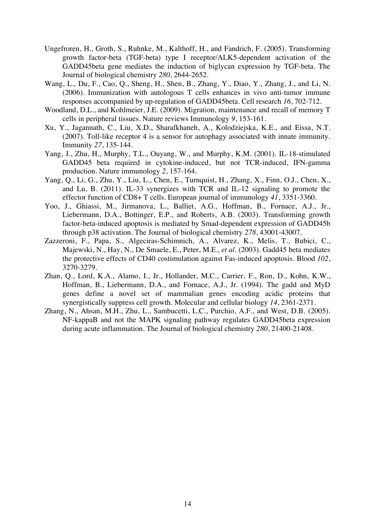- Ungefroren, H., Groth, S., Ruhnke, M., Kalthoff, H., and Fandrich, F. (2005). Transforming growth factor-beta (TGF-beta) type I receptor/ALK5-dependent activation of the GADD45beta gene mediates the induction of biglycan expression by TGF-beta. The Journal of biological chemistry *280*, 2644-2652.
- Wang, L., Du, F., Cao, Q., Sheng, H., Shen, B., Zhang, Y., Diao, Y., Zhang, J., and Li, N. (2006). Immunization with autologous T cells enhances in vivo anti-tumor immune responses accompanied by up-regulation of GADD45beta. Cell research *16*, 702-712.
- Woodland, D.L., and Kohlmeier, J.E. (2009). Migration, maintenance and recall of memory T cells in peripheral tissues. Nature reviews Immunology *9*, 153-161.
- Xu, Y., Jagannath, C., Liu, X.D., Sharafkhaneh, A., Kolodziejska, K.E., and Eissa, N.T. (2007). Toll-like receptor 4 is a sensor for autophagy associated with innate immunity. Immunity *27*, 135-144.
- Yang, J., Zhu, H., Murphy, T.L., Ouyang, W., and Murphy, K.M. (2001). IL-18-stimulated GADD45 beta required in cytokine-induced, but not TCR-induced, IFN-gamma production. Nature immunology *2*, 157-164.
- Yang, Q., Li, G., Zhu, Y., Liu, L., Chen, E., Turnquist, H., Zhang, X., Finn, O.J., Chen, X., and Lu, B. (2011). IL-33 synergizes with TCR and IL-12 signaling to promote the effector function of CD8+ T cells. European journal of immunology *41*, 3351-3360.
- Yoo, J., Ghiassi, M., Jirmanova, L., Balliet, A.G., Hoffman, B., Fornace, A.J., Jr., Liebermann, D.A., Bottinger, E.P., and Roberts, A.B. (2003). Transforming growth factor-beta-induced apoptosis is mediated by Smad-dependent expression of GADD45b through p38 activation. The Journal of biological chemistry *278*, 43001-43007.
- Zazzeroni, F., Papa, S., Algeciras-Schimnich, A., Alvarez, K., Melis, T., Bubici, C., Majewski, N., Hay, N., De Smaele, E., Peter, M.E.*, et al.* (2003). Gadd45 beta mediates the protective effects of CD40 costimulation against Fas-induced apoptosis. Blood *102*, 3270-3279.
- Zhan, Q., Lord, K.A., Alamo, I., Jr., Hollander, M.C., Carrier, F., Ron, D., Kohn, K.W., Hoffman, B., Liebermann, D.A., and Fornace, A.J., Jr. (1994). The gadd and MyD genes define a novel set of mammalian genes encoding acidic proteins that synergistically suppress cell growth. Molecular and cellular biology *14*, 2361-2371.
- Zhang, N., Ahsan, M.H., Zhu, L., Sambucetti, L.C., Purchio, A.F., and West, D.B. (2005). NF-kappaB and not the MAPK signaling pathway regulates GADD45beta expression during acute inflammation. The Journal of biological chemistry *280*, 21400-21408.